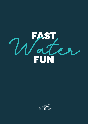

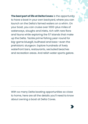**The best part of life at Delta Coves** is the opportunity to have a boat in your own backyard, where you can launch on the Delta's famed waters on a whim. On your boat, you can cruise over 1000-plus miles of waterways, sloughs and inlets, rich with rare flora and fauna while exploring the 57 islands that make up the Delta. Tackle prime fishing year-round for big-game bluegill, bullhead and bass—even the prehistoric sturgeon. Explore hundreds of lively waterfront bars, restaurants, secluded beaches and recreation areas. And relish water sports galore.

With so many Delta boating opportunities so close to home, here are all the details you'll need to know about owning a boat at Delta Coves.

>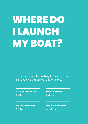### WHERE DO I LAUNCH MY BOAT?

There are several launching facilities that also sell gasoline throughout Bethel Island.

#### **SUNSET HARBOR** 1 Mile

**SUGAR BARGE** 2 Miles

2.5 Miles **BETHEL HARBOR RUSSO'S MARINA**

2.5 Miles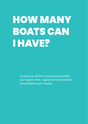### HOW MANY BOATS CAN I HAVE?

As many as will fit on your dock and within your lagoon zone. Lagoon zone boundaries are available upon request.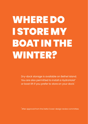# WHERE DO I STORE MY BOAT IN THE WINTER?

Dry-dock storage is available on Bethel Island. You are also permitted to install a HydroHoist® or boat lift if you prefer to store on your dock.<sup>\*</sup>

\* After approval from the Delta Coves' design review committee.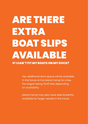#### ARE THERE EXTRA BOAT SLIPS AVAILABLE IF I CAN'T FIT MY BOATS ON MY DOCK?

Yes, additional dock space will be available in the future at the Island Camp for a fee, the largest being 16x45 feet depending on availability.

Island Camp may also have side tie berths available for larger vessels in the future.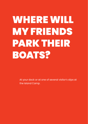### WHERE WILL MY FRIENDS PARK THEIR BOATS?

At your dock or at one of several visitor's slips at the Island Camp.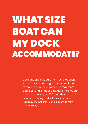#### WHAT SIZE BOAT CAN MY DOCK ACCOMMODATE?

Dock and slip sizes vary from lot to lot. Each lot will have its own lagoon zone and it's up to the homeowner to determine maximum boat size. Single Finger Dock at Homesites can accommodate up to 32 ft vessel as long as it is within mooring and setback limitations. *(Lagoon zone site plans can be obtained from your builder.)*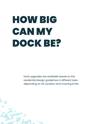## HOW BIG CAN MY DOCK BE?

Dock upgrades are available based on the residential design guidelines in different sizes depending on lot, location and mooring limits.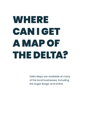## WHERE CAN I GET A MAP OF THE DELTA?

Delta Maps are available at many of the local businesses, including the Sugar Barge, and online.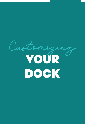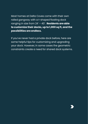Most homes at Delta Coves come with their own railed gangway with a t-shaped floating dock ranging in size from 24' – 40'. **Residents are able to customize their docks, up to 1,000 sq ft, and the possibilities are endless.**

If you've never had a private dock before, here are some helpful tips for customizing and upgrading your dock. However, in some cases the geometric constraints create a need for shared dock systems.

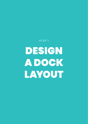STEP 1

DESIGN A DOCK LAYOUT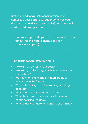First you need to take into consideration your homesite's physical layout, lagoon zone (see your site plan obtained from your builder) and community residential design guidelines.

• How much space do you have available and how far out into the water can my dock go? (See your site plan.)

#### **THEN THINK ABOUT FUNCTIONALITY**

- How will you be using your dock?
- How many and what type of boat or watercraft do you have?
- Are you planning to add any more boats or watercraft in the future?
- Will you be doing a lot of swimming or fishing dockside?
- Will you be using your dock at night?
- Will children, seniors or anyone with special needs be using the dock?
- Will you use your dock for lounging or sunning?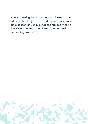After answering these questions, sit down and draw a layout that fits your needs. Many companies offer dock sections in various shapes and sizes, making it easy for you to get creative and come up with something unique.

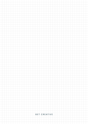#### GET CREATIVE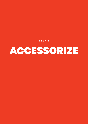STEP 2

#### ACCESSORIZE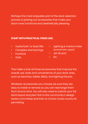Perhaps the most enjoyable part of the dock selection process is picking out accessories that make your dock more functional and aesthetically pleasing.

#### **START WITH PRACTICAL ITEMS LIKE:**

- HydroHoist® or boat lifts
- Canopies and awnings
- **Furniture**
- Grills
- Lighting & marina mate (power/water supply)
- Jet ski port
- Etc.

Then take a look at those accessories that improve the overall use, looks and convenience of your dock area, such as benches, tables, BBQs, and lighting fixtures.

Whatever accessories you choose, be sure they are easy to install or remove so you can rearrange them from time to time. You will also need to submit your full dock layout and plan first to the community's design review committee and then to Contra Costa county for permitting.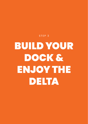# BUILD YOUR DOCK & ENJOY THE DELTA

STEP 3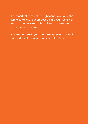It's important to select the right contractor to do the job to complete your proposed plan. You'll work with your contractor to establish price and develop a construction schedule.

Before you know it, you'll be soaking up the California sun and a lifetime of adventures on the Delta.